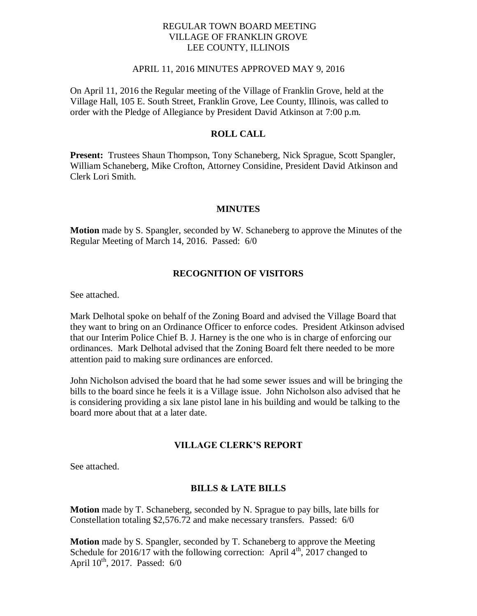## REGULAR TOWN BOARD MEETING VILLAGE OF FRANKLIN GROVE LEE COUNTY, ILLINOIS

## APRIL 11, 2016 MINUTES APPROVED MAY 9, 2016

On April 11, 2016 the Regular meeting of the Village of Franklin Grove, held at the Village Hall, 105 E. South Street, Franklin Grove, Lee County, Illinois, was called to order with the Pledge of Allegiance by President David Atkinson at 7:00 p.m.

## **ROLL CALL**

**Present:** Trustees Shaun Thompson, Tony Schaneberg, Nick Sprague, Scott Spangler, William Schaneberg, Mike Crofton, Attorney Considine, President David Atkinson and Clerk Lori Smith.

## **MINUTES**

**Motion** made by S. Spangler, seconded by W. Schaneberg to approve the Minutes of the Regular Meeting of March 14, 2016. Passed: 6/0

## **RECOGNITION OF VISITORS**

See attached.

Mark Delhotal spoke on behalf of the Zoning Board and advised the Village Board that they want to bring on an Ordinance Officer to enforce codes. President Atkinson advised that our Interim Police Chief B. J. Harney is the one who is in charge of enforcing our ordinances. Mark Delhotal advised that the Zoning Board felt there needed to be more attention paid to making sure ordinances are enforced.

John Nicholson advised the board that he had some sewer issues and will be bringing the bills to the board since he feels it is a Village issue. John Nicholson also advised that he is considering providing a six lane pistol lane in his building and would be talking to the board more about that at a later date.

## **VILLAGE CLERK'S REPORT**

See attached.

#### **BILLS & LATE BILLS**

**Motion** made by T. Schaneberg, seconded by N. Sprague to pay bills, late bills for Constellation totaling \$2,576.72 and make necessary transfers. Passed: 6/0

**Motion** made by S. Spangler, seconded by T. Schaneberg to approve the Meeting Schedule for 2016/17 with the following correction: April  $4<sup>th</sup>$ , 2017 changed to April  $10^{th}$ , 2017. Passed: 6/0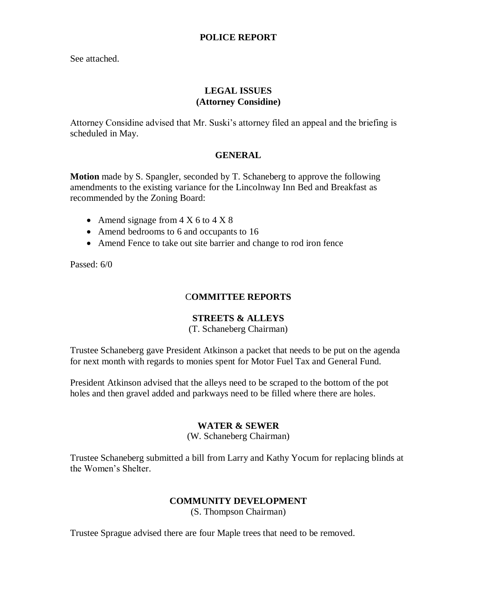## **POLICE REPORT**

See attached.

# **LEGAL ISSUES (Attorney Considine)**

Attorney Considine advised that Mr. Suski's attorney filed an appeal and the briefing is scheduled in May.

# **GENERAL**

**Motion** made by S. Spangler, seconded by T. Schaneberg to approve the following amendments to the existing variance for the Lincolnway Inn Bed and Breakfast as recommended by the Zoning Board:

- Amend signage from  $4 \times 6$  to  $4 \times 8$
- Amend bedrooms to 6 and occupants to 16
- Amend Fence to take out site barrier and change to rod iron fence

Passed: 6/0

# C**OMMITTEE REPORTS**

## **STREETS & ALLEYS**

(T. Schaneberg Chairman)

Trustee Schaneberg gave President Atkinson a packet that needs to be put on the agenda for next month with regards to monies spent for Motor Fuel Tax and General Fund.

President Atkinson advised that the alleys need to be scraped to the bottom of the pot holes and then gravel added and parkways need to be filled where there are holes.

## **WATER & SEWER**

(W. Schaneberg Chairman)

Trustee Schaneberg submitted a bill from Larry and Kathy Yocum for replacing blinds at the Women's Shelter.

# **COMMUNITY DEVELOPMENT**

(S. Thompson Chairman)

Trustee Sprague advised there are four Maple trees that need to be removed.